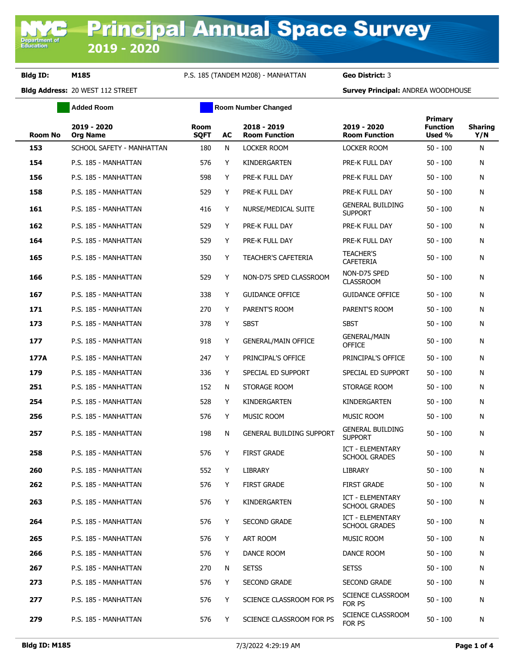Department of<br>Education

### **Bldg ID: M185** P.S. 185 (TANDEM M208) - MANHATTAN **Geo District:** 3

**Bldg Address:** 20 WEST 112 STREET **Survey Principal:** ANDREA WOODHOUSE

|                | Added Room                     | <b>Room Number Changed</b> |    |                                     |                                                 |                                             |                       |
|----------------|--------------------------------|----------------------------|----|-------------------------------------|-------------------------------------------------|---------------------------------------------|-----------------------|
| <b>Room No</b> | 2019 - 2020<br><b>Org Name</b> | Room<br><b>SQFT</b>        | AC | 2018 - 2019<br><b>Room Function</b> | 2019 - 2020<br><b>Room Function</b>             | <b>Primary</b><br><b>Function</b><br>Used % | <b>Sharing</b><br>Y/N |
| 153            | SCHOOL SAFETY - MANHATTAN      | 180                        | N  | <b>LOCKER ROOM</b>                  | <b>LOCKER ROOM</b>                              | $50 - 100$                                  | N                     |
| 154            | P.S. 185 - MANHATTAN           | 576                        | Y  | KINDERGARTEN                        | PRE-K FULL DAY                                  | $50 - 100$                                  | N                     |
| 156            | P.S. 185 - MANHATTAN           | 598                        | Y  | PRE-K FULL DAY                      | PRE-K FULL DAY                                  | $50 - 100$                                  | N                     |
| 158            | P.S. 185 - MANHATTAN           | 529                        | Y  | PRE-K FULL DAY                      | PRE-K FULL DAY                                  | $50 - 100$                                  | N                     |
| 161            | P.S. 185 - MANHATTAN           | 416                        | Y  | NURSE/MEDICAL SUITE                 | GENERAL BUILDING<br><b>SUPPORT</b>              | $50 - 100$                                  | N                     |
| 162            | P.S. 185 - MANHATTAN           | 529                        | Y  | PRE-K FULL DAY                      | PRE-K FULL DAY                                  | $50 - 100$                                  | N                     |
| 164            | P.S. 185 - MANHATTAN           | 529                        | Y  | PRE-K FULL DAY                      | PRE-K FULL DAY                                  | $50 - 100$                                  | N                     |
| 165            | P.S. 185 - MANHATTAN           | 350                        | Y  | <b>TEACHER'S CAFETERIA</b>          | <b>TEACHER'S</b><br>CAFETERIA                   | $50 - 100$                                  | N                     |
| 166            | P.S. 185 - MANHATTAN           | 529                        | Y  | NON-D75 SPED CLASSROOM              | NON-D75 SPED<br><b>CLASSROOM</b>                | $50 - 100$                                  | N                     |
| 167            | P.S. 185 - MANHATTAN           | 338                        | Y  | <b>GUIDANCE OFFICE</b>              | <b>GUIDANCE OFFICE</b>                          | $50 - 100$                                  | N                     |
| 171            | P.S. 185 - MANHATTAN           | 270                        | Y  | PARENT'S ROOM                       | PARENT'S ROOM                                   | $50 - 100$                                  | N                     |
| 173            | P.S. 185 - MANHATTAN           | 378                        | Y  | <b>SBST</b>                         | SBST                                            | $50 - 100$                                  | N                     |
| 177            | P.S. 185 - MANHATTAN           | 918                        | Y  | <b>GENERAL/MAIN OFFICE</b>          | <b>GENERAL/MAIN</b><br><b>OFFICE</b>            | $50 - 100$                                  | N                     |
| 177A           | P.S. 185 - MANHATTAN           | 247                        | Y  | PRINCIPAL'S OFFICE                  | PRINCIPAL'S OFFICE                              | $50 - 100$                                  | N                     |
| 179            | P.S. 185 - MANHATTAN           | 336                        | Y  | SPECIAL ED SUPPORT                  | SPECIAL ED SUPPORT                              | $50 - 100$                                  | N                     |
| 251            | P.S. 185 - MANHATTAN           | 152                        | N  | STORAGE ROOM                        | STORAGE ROOM                                    | $50 - 100$                                  | N                     |
| 254            | P.S. 185 - MANHATTAN           | 528                        | Y  | KINDERGARTEN                        | KINDERGARTEN                                    | $50 - 100$                                  | N                     |
| 256            | P.S. 185 - MANHATTAN           | 576                        | Y  | MUSIC ROOM                          | MUSIC ROOM                                      | $50 - 100$                                  | N                     |
| 257            | P.S. 185 - MANHATTAN           | 198                        | N  | <b>GENERAL BUILDING SUPPORT</b>     | <b>GENERAL BUILDING</b><br><b>SUPPORT</b>       | 50 - 100                                    | Ν                     |
| 258            | P.S. 185 - MANHATTAN           | 576                        | Y  | <b>FIRST GRADE</b>                  | <b>ICT - ELEMENTARY</b><br><b>SCHOOL GRADES</b> | 50 - 100                                    | Ν                     |
| 260            | P.S. 185 - MANHATTAN           | 552                        | Y  | <b>LIBRARY</b>                      | <b>LIBRARY</b>                                  | $50 - 100$                                  | N                     |
| 262            | P.S. 185 - MANHATTAN           | 576                        | Y  | <b>FIRST GRADE</b>                  | <b>FIRST GRADE</b>                              | $50 - 100$                                  | N                     |
| 263            | P.S. 185 - MANHATTAN           | 576                        | Y  | KINDERGARTEN                        | ICT - ELEMENTARY<br><b>SCHOOL GRADES</b>        | $50 - 100$                                  | N                     |
| 264            | P.S. 185 - MANHATTAN           | 576                        | Y  | <b>SECOND GRADE</b>                 | ICT - ELEMENTARY<br><b>SCHOOL GRADES</b>        | $50 - 100$                                  | Ν                     |
| 265            | P.S. 185 - MANHATTAN           | 576                        | Y. | ART ROOM                            | <b>MUSIC ROOM</b>                               | $50 - 100$                                  | N                     |
| 266            | P.S. 185 - MANHATTAN           | 576                        | Y  | DANCE ROOM                          | DANCE ROOM                                      | $50 - 100$                                  | N                     |
| 267            | P.S. 185 - MANHATTAN           | 270                        | N  | <b>SETSS</b>                        | <b>SETSS</b>                                    | $50 - 100$                                  | N                     |
| 273            | P.S. 185 - MANHATTAN           | 576                        | Y. | <b>SECOND GRADE</b>                 | <b>SECOND GRADE</b>                             | $50 - 100$                                  | N                     |
| 277            | P.S. 185 - MANHATTAN           | 576                        | Y. | SCIENCE CLASSROOM FOR PS            | SCIENCE CLASSROOM<br>FOR PS                     | $50 - 100$                                  | N                     |
| 279            | P.S. 185 - MANHATTAN           | 576                        | Y  | SCIENCE CLASSROOM FOR PS            | SCIENCE CLASSROOM<br>FOR PS                     | $50 - 100$                                  | N                     |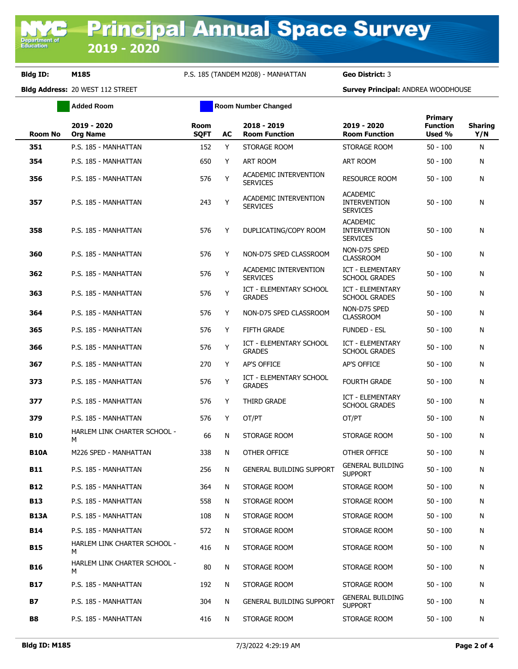**Department of**<br>Education

# **Bldg ID: M185** P.S. 185 (TANDEM M208) - MANHATTAN **Geo District:** 3

**Bldg Address:** 20 WEST 112 STREET **Survey Principal:** ANDREA WOODHOUSE

|             | <b>Added Room</b>                        | <b>Room Number Changed</b> |    |                                                 |                                                           |                                             |                       |
|-------------|------------------------------------------|----------------------------|----|-------------------------------------------------|-----------------------------------------------------------|---------------------------------------------|-----------------------|
| Room No     | 2019 - 2020<br><b>Org Name</b>           | <b>Room</b><br><b>SQFT</b> | AC | 2018 - 2019<br><b>Room Function</b>             | 2019 - 2020<br><b>Room Function</b>                       | <b>Primary</b><br><b>Function</b><br>Used % | <b>Sharing</b><br>Y/N |
| 351         | P.S. 185 - MANHATTAN                     | 152                        | Y  | STORAGE ROOM                                    | STORAGE ROOM                                              | $50 - 100$                                  | N                     |
| 354         | P.S. 185 - MANHATTAN                     | 650                        | Y  | <b>ART ROOM</b>                                 | ART ROOM                                                  | $50 - 100$                                  | N                     |
| 356         | P.S. 185 - MANHATTAN                     | 576                        | Y  | ACADEMIC INTERVENTION<br><b>SERVICES</b>        | <b>RESOURCE ROOM</b>                                      | $50 - 100$                                  | N                     |
| 357         | P.S. 185 - MANHATTAN                     | 243                        | Y  | ACADEMIC INTERVENTION<br><b>SERVICES</b>        | <b>ACADEMIC</b><br><b>INTERVENTION</b><br><b>SERVICES</b> | $50 - 100$                                  | N                     |
| 358         | P.S. 185 - MANHATTAN                     | 576                        | Y  | DUPLICATING/COPY ROOM                           | <b>ACADEMIC</b><br><b>INTERVENTION</b><br><b>SERVICES</b> | $50 - 100$                                  | N                     |
| 360         | P.S. 185 - MANHATTAN                     | 576                        | Y  | NON-D75 SPED CLASSROOM                          | NON-D75 SPED<br><b>CLASSROOM</b>                          | $50 - 100$                                  | N                     |
| 362         | P.S. 185 - MANHATTAN                     | 576                        | Υ  | ACADEMIC INTERVENTION<br><b>SERVICES</b>        | <b>ICT - ELEMENTARY</b><br><b>SCHOOL GRADES</b>           | $50 - 100$                                  | N                     |
| 363         | P.S. 185 - MANHATTAN                     | 576                        | Y  | <b>ICT - ELEMENTARY SCHOOL</b><br><b>GRADES</b> | <b>ICT - ELEMENTARY</b><br><b>SCHOOL GRADES</b>           | $50 - 100$                                  | N                     |
| 364         | P.S. 185 - MANHATTAN                     | 576                        | Y  | NON-D75 SPED CLASSROOM                          | NON-D75 SPED<br><b>CLASSROOM</b>                          | $50 - 100$                                  | N                     |
| 365         | P.S. 185 - MANHATTAN                     | 576                        | Y  | <b>FIFTH GRADE</b>                              | <b>FUNDED - ESL</b>                                       | $50 - 100$                                  | N                     |
| 366         | P.S. 185 - MANHATTAN                     | 576                        | Y  | ICT - ELEMENTARY SCHOOL<br><b>GRADES</b>        | <b>ICT - ELEMENTARY</b><br><b>SCHOOL GRADES</b>           | $50 - 100$                                  | N                     |
| 367         | P.S. 185 - MANHATTAN                     | 270                        | Y  | <b>AP'S OFFICE</b>                              | AP'S OFFICE                                               | $50 - 100$                                  | N                     |
| 373         | P.S. 185 - MANHATTAN                     | 576                        | Y  | ICT - ELEMENTARY SCHOOL<br><b>GRADES</b>        | <b>FOURTH GRADE</b>                                       | $50 - 100$                                  | N                     |
| 377         | P.S. 185 - MANHATTAN                     | 576                        | Y  | THIRD GRADE                                     | <b>ICT - ELEMENTARY</b><br><b>SCHOOL GRADES</b>           | $50 - 100$                                  | N                     |
| 379         | P.S. 185 - MANHATTAN                     | 576                        | Y  | OT/PT                                           | OT/PT                                                     | $50 - 100$                                  | N                     |
| <b>B10</b>  | <b>HARLEM LINK CHARTER SCHOOL -</b><br>M | 66                         | N  | STORAGE ROOM                                    | STORAGE ROOM                                              | $50 - 100$                                  | N                     |
| <b>B10A</b> | M226 SPED - MANHATTAN                    | 338                        | N  | OTHER OFFICE                                    | OTHER OFFICE                                              | $50 - 100$                                  | N                     |
| <b>B11</b>  | P.S. 185 - MANHATTAN                     | 256                        | N  | <b>GENERAL BUILDING SUPPORT</b>                 | <b>GENERAL BUILDING</b><br><b>SUPPORT</b>                 | $50 - 100$                                  | N                     |
| <b>B12</b>  | P.S. 185 - MANHATTAN                     | 364                        | N  | STORAGE ROOM                                    | STORAGE ROOM                                              | $50 - 100$                                  | N                     |
| <b>B13</b>  | P.S. 185 - MANHATTAN                     | 558                        | N  | STORAGE ROOM                                    | STORAGE ROOM                                              | $50 - 100$                                  | N                     |
| <b>B13A</b> | P.S. 185 - MANHATTAN                     | 108                        | N  | STORAGE ROOM                                    | STORAGE ROOM                                              | $50 - 100$                                  | N                     |
| B14         | P.S. 185 - MANHATTAN                     | 572                        | N  | STORAGE ROOM                                    | STORAGE ROOM                                              | $50 - 100$                                  | N                     |
| <b>B15</b>  | HARLEM LINK CHARTER SCHOOL -<br>M        | 416                        | N  | STORAGE ROOM                                    | STORAGE ROOM                                              | $50 - 100$                                  | N                     |
| <b>B16</b>  | HARLEM LINK CHARTER SCHOOL -<br>M        | 80                         | N  | STORAGE ROOM                                    | STORAGE ROOM                                              | $50 - 100$                                  | N                     |
| B17         | P.S. 185 - MANHATTAN                     | 192                        | N  | STORAGE ROOM                                    | STORAGE ROOM                                              | $50 - 100$                                  | N                     |
| В7          | P.S. 185 - MANHATTAN                     | 304                        | N  | <b>GENERAL BUILDING SUPPORT</b>                 | <b>GENERAL BUILDING</b><br><b>SUPPORT</b>                 | $50 - 100$                                  | N                     |
| <b>B8</b>   | P.S. 185 - MANHATTAN                     | 416                        | N  | STORAGE ROOM                                    | STORAGE ROOM                                              | $50 - 100$                                  | N                     |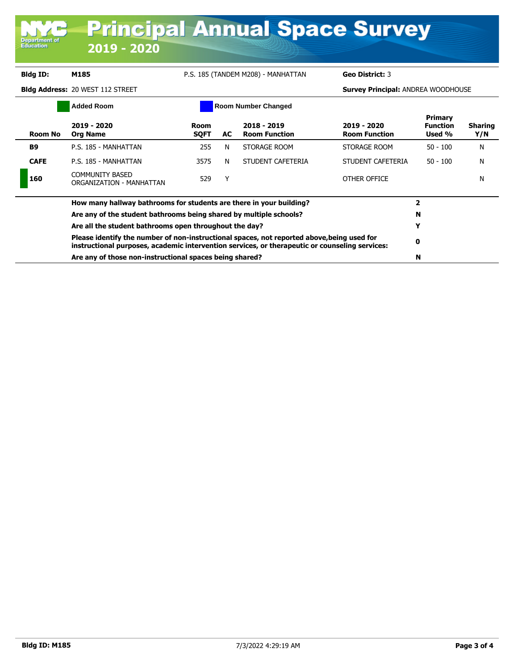# **Bldg ID: M185** P.S. 185 (TANDEM M208) - MANHATTAN **Geo District:** 3

# **Bldg Address:** 20 WEST 112 STREET **Survey Principal:** ANDREA WOODHOUSE

| <b>Added Room</b> |                                                                                                                                                                                                                                                                                                                              | <b>Room Number Changed</b> |     |                                       |                                     |                                             |                       |
|-------------------|------------------------------------------------------------------------------------------------------------------------------------------------------------------------------------------------------------------------------------------------------------------------------------------------------------------------------|----------------------------|-----|---------------------------------------|-------------------------------------|---------------------------------------------|-----------------------|
| Room No           | 2019 - 2020<br><b>Org Name</b>                                                                                                                                                                                                                                                                                               | Room<br><b>SQFT</b>        | AC. | $2018 - 2019$<br><b>Room Function</b> | 2019 - 2020<br><b>Room Function</b> | <b>Primary</b><br><b>Function</b><br>Used % | <b>Sharing</b><br>Y/N |
| <b>B9</b>         | P.S. 185 - MANHATTAN                                                                                                                                                                                                                                                                                                         | 255                        | N   | STORAGE ROOM                          | STORAGE ROOM                        | $50 - 100$                                  | N                     |
| <b>CAFE</b>       | P.S. 185 - MANHATTAN                                                                                                                                                                                                                                                                                                         | 3575                       | N   | STUDENT CAFETERIA                     | STUDENT CAFETERIA                   | $50 - 100$                                  | N                     |
| 160               | <b>COMMUNITY BASED</b><br>ORGANIZATION - MANHATTAN                                                                                                                                                                                                                                                                           | 529                        |     |                                       | OTHER OFFICE                        |                                             | N                     |
|                   | How many hallway bathrooms for students are there in your building?                                                                                                                                                                                                                                                          |                            | 2   |                                       |                                     |                                             |                       |
|                   | Are any of the student bathrooms being shared by multiple schools?<br>Are all the student bathrooms open throughout the day?<br>Please identify the number of non-instructional spaces, not reported above, being used for<br>instructional purposes, academic intervention services, or therapeutic or counseling services: |                            |     |                                       |                                     | N                                           |                       |
|                   |                                                                                                                                                                                                                                                                                                                              |                            |     |                                       |                                     | Y                                           |                       |
|                   |                                                                                                                                                                                                                                                                                                                              |                            |     |                                       |                                     | 0                                           |                       |
|                   | Are any of those non-instructional spaces being shared?                                                                                                                                                                                                                                                                      |                            |     |                                       |                                     | N                                           |                       |